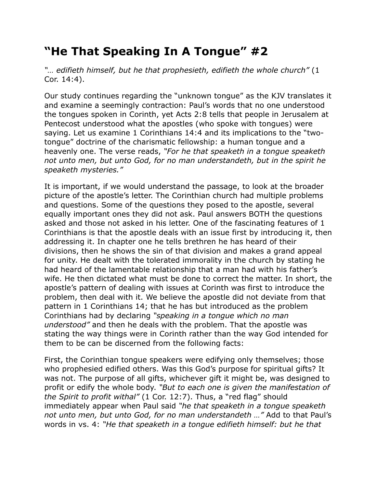## **"He That Speaking In A Tongue" #2**

*"… edifieth himself, but he that prophesieth, edifieth the whole church"* (1 Cor. 14:4).

Our study continues regarding the "unknown tongue" as the KJV translates it and examine a seemingly contraction: Paul's words that no one understood the tongues spoken in Corinth, yet Acts 2:8 tells that people in Jerusalem at Pentecost understood what the apostles (who spoke with tongues) were saying. Let us examine 1 Corinthians 14:4 and its implications to the "twotongue" doctrine of the charismatic fellowship: a human tongue and a heavenly one. The verse reads, *"For he that speaketh in a tongue speaketh not unto men, but unto God, for no man understandeth, but in the spirit he speaketh mysteries."*

It is important, if we would understand the passage, to look at the broader picture of the apostle's letter. The Corinthian church had multiple problems and questions. Some of the questions they posed to the apostle, several equally important ones they did not ask. Paul answers BOTH the questions asked and those not asked in his letter. One of the fascinating features of 1 Corinthians is that the apostle deals with an issue first by introducing it, then addressing it. In chapter one he tells brethren he has heard of their divisions, then he shows the sin of that division and makes a grand appeal for unity. He dealt with the tolerated immorality in the church by stating he had heard of the lamentable relationship that a man had with his father's wife. He then dictated what must be done to correct the matter. In short, the apostle's pattern of dealing with issues at Corinth was first to introduce the problem, then deal with it. We believe the apostle did not deviate from that pattern in 1 Corinthians 14; that he has but introduced as the problem Corinthians had by declaring *"speaking in a tongue which no man understood"* and then he deals with the problem. That the apostle was stating the way things were in Corinth rather than the way God intended for them to be can be discerned from the following facts:

First, the Corinthian tongue speakers were edifying only themselves; those who prophesied edified others. Was this God's purpose for spiritual gifts? It was not. The purpose of all gifts, whichever gift it might be, was designed to profit or edify the whole body. *"But to each one is given the manifestation of the Spirit to profit withal"* (1 Cor. 12:7). Thus, a "red flag" should immediately appear when Paul said *"he that speaketh in a tongue speaketh not unto men, but unto God, for no man understandeth …"* Add to that Paul's words in vs. 4: *"He that speaketh in a tongue edifieth himself: but he that*